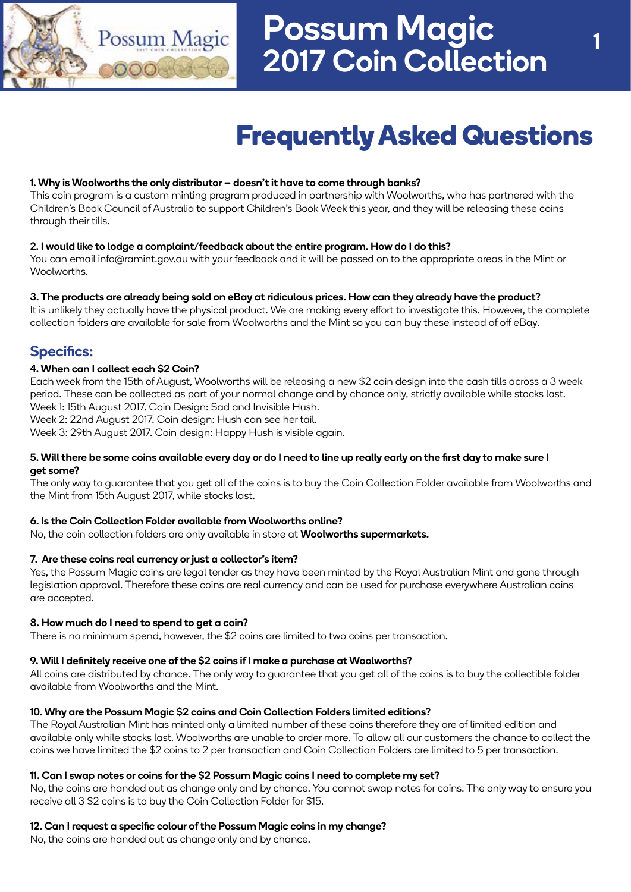

# **Frequently Asked Questions**

### 1. Why is Woolworths the only distributor – doesn't it have to come through banks?

This coin program is a custom minting program produced in partnership with Woolworths, who has partnered with the Children's Book Council of Australia to support Children's Book Week this year, and they will be releasing these coins through their tills.

#### 2. I would like to lodge a complaint/feedback about the entire program. How do I do this?

You can email info@ramint.gov.au with your feedback and it will be passed on to the appropriate areas in the Mint or Woolworths.

## 3. The products are already being sold on eBay at ridiculous prices. How can they already have the product?

It is unlikely they actually have the physical product. We are making every effort to investigate this. However, the complete collection folders are available for sale from Woolworths and the Mint so you can buy these instead of off eBay.

# Specifics:

## 4. When can I collect each \$2 Coin?

Each week from the 15th of August, Woolworths will be releasing a new \$2 coin design into the cash tills across a 3 week period. These can be collected as part of your normal change and by chance only, strictly available while stocks last. Week 1: 15th August 2017. Coin Design: Sad and Invisible Hush.

Week 2: 22nd August 2017. Coin design: Hush can see her tail.

Week 3: 29th August 2017. Coin design: Happy Hush is visible again.

#### 5. Will there be some coins available every day or do I need to line up really early on the first day to make sure I get some?

The only way to guarantee that you get all of the coins is to buy the Coin Collection Folder available from Woolworths and the Mint from 15th August 2017, while stocks last.

#### 6. Is the Coin Collection Folder available from Woolworths online?

No, the coin collection folders are only available in store at **Woolworths supermarkets.** 

#### 7. Are these coins real currency or just a collector's item?

Yes, the Possum Magic coins are legal tender as they have been minted by the Royal Australian Mint and gone through legislation approval. Therefore these coins are real currency and can be used for purchase everywhere Australian coins are accepted.

#### 8. How much do I need to spend to get a coin?

There is no minimum spend, however, the \$2 coins are limited to two coins per transaction.

#### 9. Will I definitely receive one of the \$2 coins if I make a purchase at Woolworths?

All coins are distributed by chance. The only way to guarantee that you get all of the coins is to buy the collectible folder available from Woolworths and the Mint.

#### 10. Why are the Possum Magic \$2 coins and Coin Collection Folders limited editions?

The Royal Australian Mint has minted only a limited number of these coins therefore they are of limited edition and available only while stocks last. Woolworths are unable to order more. To allow all our customers the chance to collect the coins we have limited the \$2 coins to 2 per transaction and Coin Collection Folders are limited to 5 per transaction.

#### 11. Can I swap notes or coins for the \$2 Possum Magic coins I need to complete my set?

No, the coins are handed out as change only and by chance. You cannot swap notes for coins. The only way to ensure you receive all 3 \$2 coins is to buy the Coin Collection Folder for \$15.

# 12. Can I request a specific colour of the Possum Magic coins in my change?

No, the coins are handed out as change only and by chance.